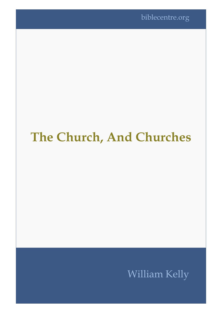## **The Church, And Churches**

## William Kelly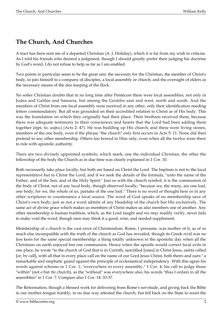## **The Church, And Churches**

A tract has been sent me of a departed Christian (A. J. Holiday), which it is far from my wish to criticise. As I told his friends who desired a judgment, though I should greatly prefer their judging his doctrine by God's word, I do not refuse to help as far as I am enabled.

Two points in particular seem to be the great aim: the necessity for the Christian, the member of Christ's body, to join himself to *a* company of disciples, a local assembly or church; and the oversight of elders as the necessary means of the due keeping of the flock.

No sober Christian doubts that in no long time after Pentecost there were local assemblies, not only in Judea and Galilee and Samaria, but among the Gentiles east and west, north and south. And the members of Christ from one local assembly were received in any other, only their identification needing letters commendatory. But all was grounded on their accredited relation to Christ as of His body. This was the foundation on which they originally had their place. Their brethren received them, because there was adequate testimony to their consciences and hearts that the Lord had been adding them together (ejpi; to; aujto;) (Acts 2: 47). He was building up His church; and these were living stones, members of the one body, even if the phrase "the church" only first occurs in Acts 5: 11. None did then pretend to any other membership. Others too bowed to Him only, even when all the twelve were there to rule with apostolic authority.

There are two divinely appointed symbols, which mark, one the individual Christian, the other the fellowship of the body the Church as in due time was clearly explained in 1 Cor. 10.

Both necessarily take place locally; but both are based on Christ the Lord. The baptism is not to the local representative but to Christ the Lord; and if we seek the details of the formula, "unto the name of the Father, and of the Son, and of the Holy Spirit." Just so with the church symbol; it is the communion of the body of Christ, not of any local body, though observed locally; "because we, the many, are one loaf, one body; for we, the whole of us, partake of the one loaf." There is no word or thought here or in any other scriptures to countenance a local source. The word of God speaks of no membership save of Christ's own body; just as not a word admits of any Headship of the church but His exclusively. The same act of divine grace which makes us members of Christ makes us also members one of another. Any other membership is human tradition, which, as the Lord taught and we may readily verify, never fails to make void the word, though men may think it a good, wise, and needed supplement.

Membership of *a* church is the vast error of Christendom. Rome, I presume, was mother of it, as of so much else incompatible with the truth of the church as God has revealed, though its Greek rival was no less keen for the same special membership: a thing totally unknown to the apostolic day when all the Christians on earth enjoyed but one communion. Hence when the apostle would correct local evils in one place, he wrote "to the church of God that is in Corinth, sanctified [ones] in Christ Jesus, saints called [or, by call], with all that in every place call on the name of our Lord Jesus Christ, both theirs and ours:" a remarkable and emphatic guard against the principle of ecclesiastical independency. With this agree his words against schisms in 1 Cor. 1; "everywhere in every assembly," 1 Cor. 4; his call to judge those "within" (not *a* but *the* church), as the "without" was everywhere also; his words "thus I ordain in all the assemblies" in 1 Cor. 7. Compare also 1 Cor. 14: 33-37.

The Reformation, though a blessed work for delivering from Rome's servitude, and giving back the Bible in our mother-tongue frankly, in no due way attested the church, but fell back on the State to resist the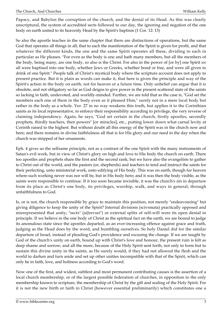Papacy, and Babylon the corruption of the church, and the denial of its Head. As this was clearly unscriptural, the system of accredited sects followed to our day, the ignoring and negation of the one body on earth united to its heavenly Head by the Spirit's baptism (1 Cor. 12: 13)

So also the apostle teaches in the same chapter that there are distinctions of operations, but the same God that operates all things in all; that to each the manifestation of the Spirit is given for profit, and that whatever the different kinds, the one and the same Spirit operates all these, dividing to each in particular as He pleases. "For even as the body is one and hath many members, but all the members of the body, being many, are one body, so also is the Christ. For also in the power of [or by] one Spirit *we* all were baptised into one body, whether Jews or Greeks, whether bond or free, and were all given to drink of one Spirit." People talk of Christ's mystical body where the scripture account does not apply to present practice. But it is plain as words can make it, that here is given the principle and way of the Spirit's action in the body on earth, not for heaven or a future time. Only unbelief can argue that it is obsolete, and not obligatory so far as God deigns to give power in the present scattered state of the saints so lacking in faith, undevoted, and worldly-minded. Further, we are told that as the case is, "God set the members each one of them in the body even as it pleased Him," surely not in a mere local body but rather in the body as a whole. Ver. 27 in no way weakens this truth, but applies it to the Corinthian saints as its local representative, to enforce their responsibility according to privilege, the very reverse of claiming independency. Again, he says, "God set certain in the church, firstly apostles, secondly prophets, thirdly teachers, then powers" [or miracles], etc., putting lower down what carnal levity at Corinth raised to the highest. But without doubt all this energy of the Spirit was in the church now and here; and there remains in divine faithfulness all that is for His glory and our need in the day when the church was stripped of her ornaments.

Eph. 4 gives us the selfsame principle, not as a contrast of the one Spirit with the many instruments of Satan's evil work, but in view of Christ's glory on high and love to His body the church on earth. There too apostles and prophets share the first and the second rank; but we have also the evangelists to gather to Christ out of the world, and the pastors (or, shepherds) and teachers to tend and instruct the saints for their perfecting, unto ministerial work, unto edifying of His body. This was on earth, though for heaven where such working never was nor will be, but in His body here; and it was then the body visible, as the saints were responsible to continue. If it too soon became invisible, it was the church's sin in departure from its place as Christ's one body, its privileges, worship, walk, and ways in general, through unfaithfulness to God.

Is, or is not, the church responsible by grace to maintain this position, not merely "endeavouring" but giving diligence to keep the unity of the Spirit? Internal divisions (scivsmata) practically opposed and misrepresented that unity; "sects" (aiJrevsei") or external splits of self-will were its open denial in principle. If we believe in the one body of Christ as the spiritual fact on the earth, we are bound to judge its anomalous state since the apostles departed, as an ever-increasing offence against grace and truth, judging as the Head does by the word, and humbling ourselves. So holy Daniel did for the similar departure of Israel, instead of pleading God's providence and excusing the change. If we are taught by God of the church's unity on earth, bound up with Christ's love and honour, the present ruin is felt as deep shame and sorrow; and all the more, because of the Holy Spirit sent forth, not only to form but to sustain this divine unity in the saints, as He surely would, if they had not allowed the flesh and the world to darken and turn aside and set up other unities incompatible with that of the Spirit, which can only be in faith, love, and holiness according to God's word.

Now one of the first, and widest, subtlest and most permanent contributing causes is the assertion of a local church membership, or of the largest possible federation of churches, in opposition to the only membership known to scripture, the membership of Christ by the gift and sealing of the Holy Spirit. For it is not the new birth or faith in Christ (however essential preliminarily) which constitutes one a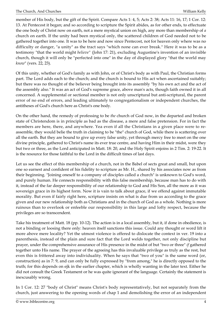member of His body, but the gift of the Spirit. Compare Acts 1: 4, 5; Acts 2: 38; Acts 11: 16, 17; 1 Cor. 12: 13. At Pentecost it began; and so according to scripture the Spirit abides, as for other ends, to effectuate the one body of Christ now on earth, not a mere mystical union on high, any more than membership of *a* church on earth. If the unity had been mystical only, the scattered children of God needed not to be gathered together into one. It was to be here and now since Pentecost, not for heaven only where was no difficulty or danger, "a unity" as the tract says "which none can ever break." Here it was to be as a testimony "that the world might *believe"* (John 17: 21), excluding Augustine's invention of an invisible church, though it will only be "perfected into one" in the day of displayed glory "that the world may *know*" (vers. 22, 23).

Of this unity, whether of God's family as with John, or of Christ's body as with Paul, the Christian forms part. The Lord adds each to the church; and the church is bound to His act when ascertained suitably; but there was no thought of the believer being brought into its assembly "by his own act and the act of the assembly also." It was an act of God's supreme grace, above man's acts, though faith owned it in all concerned. A supplemental or sectional member is not only unscriptural but anti-scriptural, the parent error of no end of errors, and leading ultimately to congregationalism or independent churches, the antitheses of God's church here as Christ's one body.

On the other hand, the remedy of professing to be *the* church of God now, in the departed and broken state of Christendom is in principle as bad as the disease, a mere and false pretension. For in fact the members are here, there, and anywhere. Yea even if all the Christians in a given place were to reassemble, they would belie the truth in claiming to be "the" church of God, while there is scattering over all the earth. But they are bound to give up every false unity, yet through mercy free to meet on the one divine principle, gathered to Christ's name its ever true centre, and having Him in their midst, were they but two or three, as the Lord anticipated in Matt. 18: 20, and the Holy Spirit enjoins in 2 Tim. 2: 19-22. It is the resource for those faithful to the Lord in the difficult times of last days.

Let us see the effect of this membership of *a* church, not in the Babel of sects great and small, but upon one so earnest and confident of his fidelity to scripture as Mr. H., shared by his associates now as from their beginning. "Joining oneself to a company of disciples called a church" is unknown to God's word, and purely human. He connects responsibility with this false membership, because man has to do with it, instead of the far deeper responsibility of our relationship to God and His Son, all the more as it was sovereign grace in its highest form. Now it is vain to talk about grace, if we offend against immutable morality. But even if fairly right here, scripture insists on what is due from us according to the grace given and our new relationship both as Christians and in the church of God as a whole. Nothing is more ruinous than to overlook or enfeeble our responsibility in this large and lofty respect, because the privileges are so transcendent.

Take his treatment of Matt. 18 (pp. 10-12). The action is in a local assembly, but it, if done in obedience, is not a binding or loosing there only: heaven itself sanctions this issue. Could any thought or word lift it more above mere locality? Yet the utmost violence is offered to dislocate the context in ver. 19 into a parenthesis, instead of the plain and sure fact that the Lord welds together, not only discipline but prayer, under the comprehensive assurance of His presence in the midst of but "two or three" *if* gathered together unto His name. The prayer of the agreeing has this invaluable privilege as truly as the rest, but even this is frittered away into individuality. When he says that "two of you" is the same word (or, construction) as in 7: 9, and can only be fully expressed by "from among," he is directly opposed to the truth; for this depends on ejk in the earlier chapter, which is wholly wanting in the later text. Either he did not consult the Greek Testament or he was quite ignorant of the language. Certainly the statement is inexcusably wrong.

In 1 Cor. 12: 27 "body of Christ" means Christ's body representatively, but not separately from the church, just answering to the opening words of chap 1 and demolishing the error of an independent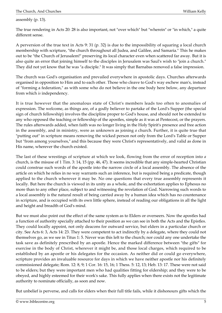assembly (p. 13).

The true rendering in Acts 20: 28 is also important, not "over which" but "wherein" or "in which," a quite different sense.

A perversion of the true text in Acts 9: 31 (p. 32) is due to the impossibility of squaring a local church membership with scripture, "the church throughout all Judea, and Galilee, and Samaria." This he makes out to be "the Church of Jerusalem!" preserving its local character even when scattered far away. But it is also quite an error that joining himself to the disciples in Jerusalem was Saul's wish to "join a church." They did not yet know that he was "a disciple." It was simply that Barnabas removed a false impression.

The church was God's organisation and prevailed everywhere in apostolic days. Churches afterwards organised in opposition to Him and to each other. Those who cleave to God's way eschew man's, instead of "forming a federation," as with some who do not believe in the one body here below, any departure from which *is* independency.

It is true however that the anomalous state of Christ's members leads too often to anomalies of expression. The welcome, as things are, of a godly believer to partake of the Lord's Supper (the special sign of church fellowship) involves the discipline proper to God's house, and should not be extended to any who opposed the teaching or fellowship of the apostles, simple as it was at Pentecost, or the prayers. The rules afterwards added, when faith was no longer living in the Holy Spirit's presence and free action in the assembly, and in ministry, were as unknown as joining *a* church. Further, it is quite true that "putting out" in scripture means removing the wicked person not only from the Lord's Table or Supper but "from among yourselves," and this because they were Christ's representatively, and valid as done in His name, wherever the church existed.

The last of these wrestings of scripture at which we look, flowing from the error of reception into *a* church, is the misuse of 1 Tim. 3: 14, 15 (pp. 46, 47). It seems incredible that any simple-hearted Christian could construe such words of the apostle into the narrow circle of a local assembly. The absence of the article on which he relies in no way warrants such an inference, but is required being a predicate, though applied to the church wherever it may be. No one questions that every true assembly represents it locally. But here the church is viewed in its unity as a whole, and the exhortation applies to Ephesus no more than to any other place, subject to and witnessing the revelation of God. Narrowing such words to a local assembly is the natural result of being carried away by a human idea which has no countenance in scripture, and is occupied with its own little sphere, instead of reading our obligations in all the light and height and breadth of God's mind.

But we must also point out the effect of the same system as to Elders or overseers. Now the apostles had a function of authority specially attached to their position as we can see in both the Acts and the Epistles. They could locally appoint, not only deacons for outward service, but elders in a particular church or city. See Acts 6: 3, Acts 14: 23. They were competent to act indirectly by a delegate, where they could not themselves go, as we see in Titus 1: 5. Never was this left to the church; nor could any one undertake the task save as definitely prescribed by an apostle. Hence the marked difference between "the gifts" for exercise in the body of Christ, wherever it might be, and those local charges, which required to be established by an apostle or his delegates for the occasion. As neither did or could go everywhere, scripture provides an invaluable resource for days in which we have neither apostle nor his definitely commissioned delegate; Rom. 12: 8, 9; 1 Cor. 16: 15, 16; 1 Thess. 5: 12, 13; Heb. 13: 17. These were not said to be elders; but they were important men who had qualities fitting for eldership; and they were to be obeyed, and highly esteemed for their work's sake. This fully applies when there exists not the legitimate authority to nominate officially, as soon and now.

But unbelief is perverse, and calls for elders when their full title fails, while it dishonours gifts which the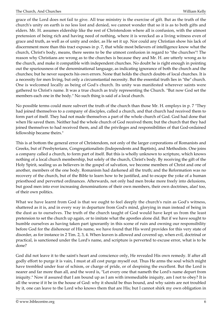grace of the Lord does not fail to give. All true ministry is the exercise of gift. But as the truth of the church's unity on earth is no less lost and denied, we cannot wonder that so it is as to both gifts and elders. Mr. H. assumes eldership like the rest of Christendom where all is confusion, with the utmost pretension of being rich and having need of nothing, where it is wrecked as a living witness even of grace and truth, as well as of unity and order, as He set it up. Nor could any Christian show his lack of discernment more than this tract exposes in p. 7, that while most believers of intelligence know what the church, Christ's body, means, there seems to be the utmost confusion in regard to "the churches"! The reason why Christians are wrong as to the churches is because they and Mr. H. are utterly wrong as to the church, and make it compatible with independent churches. No doubt he is right enough in pointing out the spuriousness of the denominational language, as indicating ignorance of both the church and the churches; but he never suspects his own errors. None that holds the church doubts of local churches. It is a necessity for men living, but only a circumstantial necessity. But the essential truth lies in "the" church. One is welcomed locally as being of God's church. Its unity was manifested wherever saints were gathered to Christ's name. It was a true church as truly representing the Church. "But now God set the members each one in the body." No such thing is said of a local church.

No possible terms could more subvert the truth of the church than those Mr. H. employs in p. 7 "They had joined themselves to a company of disciples, called a church, and that church had received them to form part of itself. They had not made themselves a part of the whole church of God. God had done that when He saved them. Neither had the whole church of God received them; but the church that they had joined themselves to had received them, and all the privileges and responsibilities of that God-ordained fellowship became theirs."

This is at bottom the general error of Christendom, not only of the larger corporations of Romanists and Greeks, but of Presbyterians, Congregationalists (Independents and Baptists), and Methodists. One joins a company called a church, to form part of itself. But this is wholly unknown to scripture, which knows nothing of a local church membership, but solely of the church, Christ's body. By receiving the gift of the Holy Spirit, sealing us as believers in the gospel of salvation, we become members of Christ and one of another, members of the one body. Romanism had darkened all the truth; and the Reformation was no recovery of the church, but of the Bible to learn how to be justified, and to escape the yoke of a human priesthood and perverted ordinances. Afterwards, not only bad men broke more freely into delusions, but good men into ever increasing denominations of their own members, their own doctrines, alas! too, of their own politics.

What we have learnt from God is that we ought to feel deeply the church's ruin as God's witness, shattered as it is, and in every way in departure from God's mind, glorying in man instead of being in the dust as to ourselves. The truth of the church taught of God would have kept us from the least pretension to set the church up again, or to imitate what the apostles alone did. But if we have sought to humble ourselves as having taken part ignorantly in this scene of ruin and owning our responsibility before God for the dishonour of His name, we have found that His word provides for this very state of disorder, as for instance in 2 Tim. 2, 3, 4. When leaven is allowed and covered up, when evil, doctrinal or practical, is sanctioned under the Lord's name, and scripture is perverted to excuse error, what is to be done?

God did not leave it to the saint's heart and conscience only, He revealed His own remedy. If after all godly effort to purge it is vain, I must at all cost purge myself out. Thus He arms the soul which might have trembled under fear of schism, or charge of pride, or of despising the excellent. But the Lord is nearer and far more than all, and the word is, "Let every one that nameth the Lord's name depart from iniquity." Now if assured that I am bound up as I am with irremediable iniquity, am I not to obey? It is all the worse if it be in the house of God: why it should be thus bound, and why saints are not troubled by it, one can leave to the Lord who knows them that are His; but I cannot shirk my own obligation in